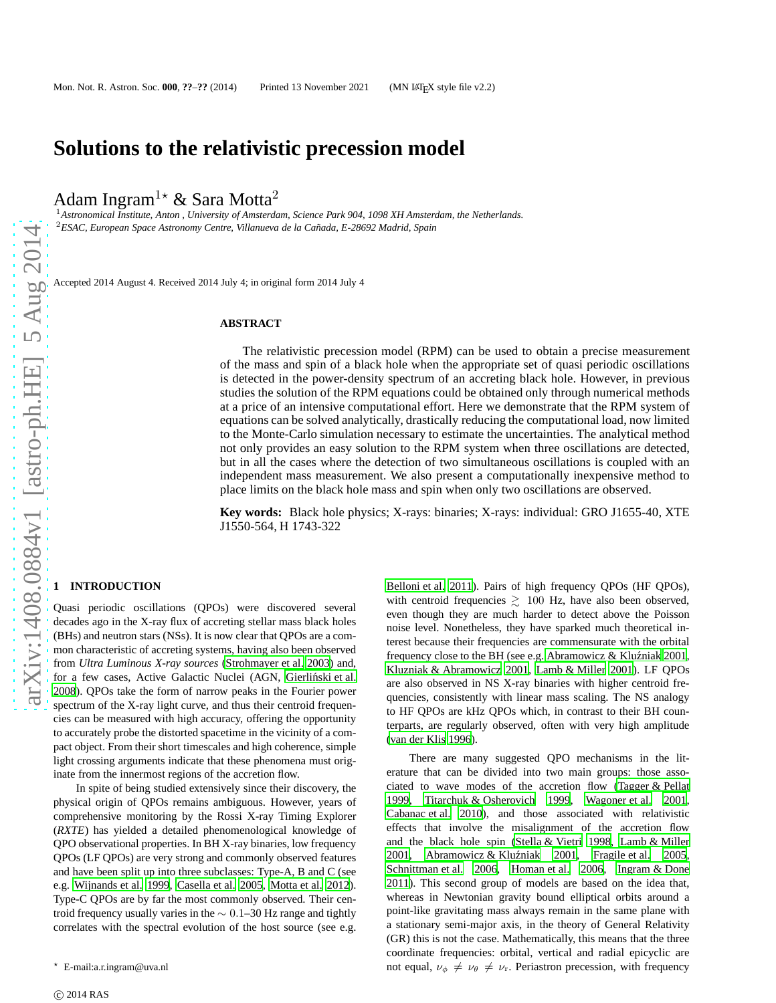# **Solutions to the relativistic precession model**

Adam Ingram<sup>1</sup><sup>\*</sup> & Sara Motta<sup>2</sup>

<sup>1</sup>*Astronomical Institute, Anton , University of Amsterdam, Science Park 904, 1098 XH Amsterdam, the Netherlands.* <sup>2</sup>*ESAC, European Space Astronomy Centre, Villanueva de la Ca˜nada, E-28692 Madrid, Spain*

Accepted 2014 August 4. Received 2014 July 4; in original form 2014 July 4

#### **ABSTRACT**

The relativistic precession model (RPM) can be used to obtain a precise measurement of the mass and spin of a black hole when the appropriate set of quasi periodic oscillations is detected in the power-density spectrum of an accreting black hole. However, in previous studies the solution of the RPM equations could be obtained only through numerical methods at a price of an intensive computational effort. Here we demonstrate that the RPM system of equations can be solved analytically, drastically reducing the computational load, now limited to the Monte-Carlo simulation necessary to estimate the uncertainties. The analytical method not only provides an easy solution to the RPM system when three oscillations are detected, but in all the cases where the detection of two simultaneous oscillations is coupled with an independent mass measurement. We also present a computationally inexpensive method to place limits on the black hole mass and spin when only two oscillations are observed.

**Key words:** Black hole physics; X-rays: binaries; X-rays: individual: GRO J1655-40, XTE J1550-564, H 1743-322

#### **1 INTRODUCTION**

Quasi periodic oscillations (QPOs) were discovered several decades ago in the X-ray flux of accreting stellar mass black holes (BHs) and neutron stars (NSs). It is now clear that QPOs are a common characteristic of accreting systems, having also been observed from *Ultra Luminous X-ray sources* [\(Strohmayer et al. 2003](#page-5-0)) and, for a few cases, Active Galactic Nuclei (AGN, Gierliński et al. [2008\)](#page-4-0). QPOs take the form of narrow peaks in the Fourier power spectrum of the X-ray light curve, and thus their centroid frequencies can be measured with high accuracy, offering the opportunity to accurately probe the distorted spacetime in the vicinity of a compact object. From their short timescales and high coherence, simple light crossing arguments indicate that these phenomena must originate from the innermost regions of the accretion flow.

In spite of being studied extensively since their discovery, the physical origin of QPOs remains ambiguous. However, years of comprehensive monitoring by the Rossi X-ray Timing Explorer (*RXTE*) has yielded a detailed phenomenological knowledge of QPO observational properties. In BH X-ray binaries, low frequency QPOs (LF QPOs) are very strong and commonly observed features and have been split up into three subclasses: Type-A, B and C (see e.g. [Wijnands et al. 1999,](#page-5-1) [Casella et al. 2005](#page-4-1), [Motta et al. 2012\)](#page-5-2). Type-C QPOs are by far the most commonly observed. Their centroid frequency usually varies in the  $\sim 0.1-30$  Hz range and tightly correlates with the spectral evolution of the host source (see e.g.

[Belloni et al. 2011\)](#page-4-2). Pairs of high frequency QPOs (HF QPOs), with centroid frequencies  $\geq 100$  Hz, have also been observed, even though they are much harder to detect above the Poisson noise level. Nonetheless, they have sparked much theoretical interest because their frequencies are commensurate with the orbital frequency close to the BH (see e.g. Abramowicz & Kluźniak 2001, [Kluzniak & Abramowicz 2001](#page-4-4), [Lamb & Miller 2001](#page-5-3)). LF QPOs are also observed in NS X-ray binaries with higher centroid frequencies, consistently with linear mass scaling. The NS analogy to HF QPOs are kHz QPOs which, in contrast to their BH counterparts, are regularly observed, often with very high amplitude [\(van der Klis 1996\)](#page-5-4).

There are many suggested QPO mechanisms in the literature that can be divided into two main groups: those associated to wave modes of the accretion flow [\(Tagger & Pellat](#page-5-5) [1999](#page-5-5), [Titarchuk & Osherovich 1999](#page-5-6), [Wagoner et al. 2001](#page-5-7), [Cabanac et al. 2010\)](#page-4-5), and those associated with relativistic effects that involve the misalignment of the accretion flow and the black hole spin [\(Stella & Vietri 1998](#page-5-8), [Lamb & Miller](#page-5-3) [2001](#page-5-3), Abramowicz & Kluźniak 2001, [Fragile et al. 2005](#page-4-6), [Schnittman et al. 2006](#page-5-9), [Homan et al. 2006](#page-4-7), [Ingram & Done](#page-4-8) [2011](#page-4-8)). This second group of models are based on the idea that, whereas in Newtonian gravity bound elliptical orbits around a point-like gravitating mass always remain in the same plane with a stationary semi-major axis, in the theory of General Relativity (GR) this is not the case. Mathematically, this means that the three coordinate frequencies: orbital, vertical and radial epicyclic are not equal,  $\nu_{\phi} \neq \nu_{\theta} \neq \nu_{r}$ . Periastron precession, with frequency

<sup>⋆</sup> E-mail:a.r.ingram@uva.nl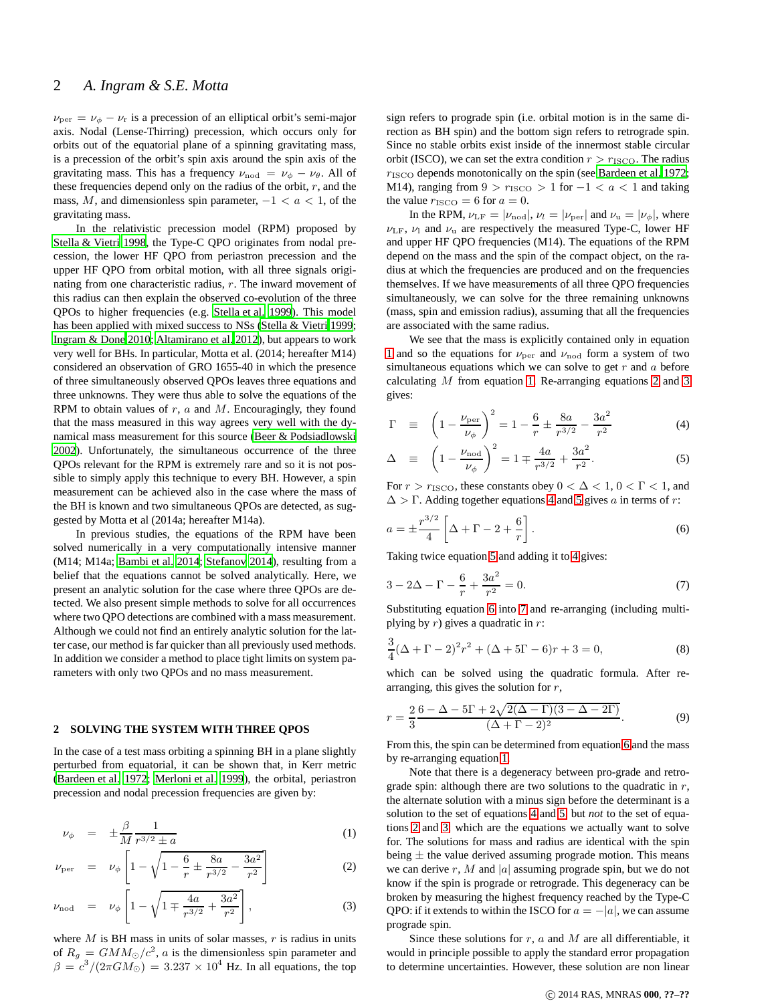$\nu_{\text{per}} = \nu_{\phi} - \nu_{\text{r}}$  is a precession of an elliptical orbit's semi-major axis. Nodal (Lense-Thirring) precession, which occurs only for orbits out of the equatorial plane of a spinning gravitating mass, is a precession of the orbit's spin axis around the spin axis of the gravitating mass. This has a frequency  $\nu_{\text{nod}} = \nu_{\phi} - \nu_{\theta}$ . All of these frequencies depend only on the radius of the orbit,  $r$ , and the mass, M, and dimensionless spin parameter,  $-1 < a < 1$ , of the gravitating mass.

In the relativistic precession model (RPM) proposed by [Stella & Vietri 1998](#page-5-8), the Type-C QPO originates from nodal precession, the lower HF QPO from periastron precession and the upper HF QPO from orbital motion, with all three signals originating from one characteristic radius, r. The inward movement of this radius can then explain the observed co-evolution of the three QPOs to higher frequencies (e.g. [Stella et al. 1999](#page-5-10)). This model has been applied with mixed success to NSs [\(Stella & Vietri 1999;](#page-5-11) [Ingram & Done 2010;](#page-4-9) [Altamirano et al. 2012\)](#page-4-10), but appears to work very well for BHs. In particular, Motta et al. (2014; hereafter M14) considered an observation of GRO 1655-40 in which the presence of three simultaneously observed QPOs leaves three equations and three unknowns. They were thus able to solve the equations of the RPM to obtain values of  $r$ ,  $a$  and  $M$ . Encouragingly, they found that the mass measured in this way agrees very well with the dynamical mass measurement for this source [\(Beer & Podsiadlowski](#page-4-11) [2002\)](#page-4-11). Unfortunately, the simultaneous occurrence of the three QPOs relevant for the RPM is extremely rare and so it is not possible to simply apply this technique to every BH. However, a spin measurement can be achieved also in the case where the mass of the BH is known and two simultaneous QPOs are detected, as suggested by Motta et al (2014a; hereafter M14a).

In previous studies, the equations of the RPM have been solved numerically in a very computationally intensive manner (M14; M14a; [Bambi et al. 2014](#page-4-12); [Stefanov 2014](#page-5-12)), resulting from a belief that the equations cannot be solved analytically. Here, we present an analytic solution for the case where three QPOs are detected. We also present simple methods to solve for all occurrences where two QPO detections are combined with a mass measurement. Although we could not find an entirely analytic solution for the latter case, our method is far quicker than all previously used methods. In addition we consider a method to place tight limits on system parameters with only two QPOs and no mass measurement.

#### <span id="page-1-5"></span>**2 SOLVING THE SYSTEM WITH THREE QPOS**

In the case of a test mass orbiting a spinning BH in a plane slightly perturbed from equatorial, it can be shown that, in Kerr metric [\(Bardeen et al. 1972](#page-4-13); [Merloni et al. 1999](#page-5-13)), the orbital, periastron precession and nodal precession frequencies are given by:

<span id="page-1-0"></span>
$$
\nu_{\phi} = \pm \frac{\beta}{M} \frac{1}{r^{3/2} \pm a} \tag{1}
$$

$$
\nu_{\text{per}} = \nu_{\phi} \left[ 1 - \sqrt{1 - \frac{6}{r} \pm \frac{8a}{r^{3/2}} - \frac{3a^2}{r^2}} \right] \tag{2}
$$

$$
\nu_{\text{nod}} = \nu_{\phi} \left[ 1 - \sqrt{1 \mp \frac{4a}{r^{3/2}} + \frac{3a^2}{r^2}} \right],
$$
\n(3)

where  $M$  is BH mass in units of solar masses,  $r$  is radius in units of  $R_g = G M M_{\odot}/c^2$ , a is the dimensionless spin parameter and  $\beta = c^3/(2\pi G M_{\odot}) = 3.237 \times 10^4$  Hz. In all equations, the top

sign refers to prograde spin (i.e. orbital motion is in the same direction as BH spin) and the bottom sign refers to retrograde spin. Since no stable orbits exist inside of the innermost stable circular orbit (ISCO), we can set the extra condition  $r > r_{\text{ISCO}}$ . The radius  $r_{\rm ISCO}$  depends monotonically on the spin (see [Bardeen et al. 1972;](#page-4-13) M14), ranging from  $9 > r_{\text{ISCO}} > 1$  for  $-1 < a < 1$  and taking the value  $r_{\text{ISCO}} = 6$  for  $a = 0$ .

In the RPM,  $\nu_{\text{LF}} = |\nu_{\text{nod}}|$ ,  $\nu_l = |\nu_{\text{per}}|$  and  $\nu_{\text{u}} = |\nu_{\phi}|$ , where  $\nu$ <sub>LF</sub>,  $\nu$ <sub>1</sub> and  $\nu$ <sub>u</sub> are respectively the measured Type-C, lower HF and upper HF QPO frequencies (M14). The equations of the RPM depend on the mass and the spin of the compact object, on the radius at which the frequencies are produced and on the frequencies themselves. If we have measurements of all three QPO frequencies simultaneously, we can solve for the three remaining unknowns (mass, spin and emission radius), assuming that all the frequencies are associated with the same radius.

We see that the mass is explicitly contained only in equation [1](#page-1-0) and so the equations for  $\nu_{\text{per}}$  and  $\nu_{\text{nod}}$  form a system of two simultaneous equations which we can solve to get  $r$  and  $a$  before calculating  $M$  from equation [1.](#page-1-0) Re-arranging equations [2](#page-1-0) and [3](#page-1-0) gives:

<span id="page-1-1"></span>
$$
\Gamma \equiv \left(1 - \frac{\nu_{\rm per}}{\nu_{\phi}}\right)^2 = 1 - \frac{6}{r} \pm \frac{8a}{r^{3/2}} - \frac{3a^2}{r^2} \tag{4}
$$

$$
\Delta \equiv \left(1 - \frac{\nu_{\text{nod}}}{\nu_{\phi}}\right)^2 = 1 \mp \frac{4a}{r^{3/2}} + \frac{3a^2}{r^2}.
$$
 (5)

For  $r > r_{\text{ISCO}}$ , these constants obey  $0 < \Delta < 1$ ,  $0 < \Gamma < 1$ , and  $\Delta > \Gamma$ . Adding together equations [4](#page-1-1) and [5](#page-1-1) gives a in terms of r:

<span id="page-1-2"></span>
$$
a = \pm \frac{r^{3/2}}{4} \left[ \Delta + \Gamma - 2 + \frac{6}{r} \right].
$$
 (6)

Taking twice equation [5](#page-1-1) and adding it to [4](#page-1-1) gives:

<span id="page-1-3"></span>
$$
3 - 2\Delta - \Gamma - \frac{6}{r} + \frac{3a^2}{r^2} = 0.
$$
 (7)

Substituting equation [6](#page-1-2) into [7](#page-1-3) and re-arranging (including multiplying by  $r$ ) gives a quadratic in  $r$ :

$$
\frac{3}{4}(\Delta + \Gamma - 2)^2 r^2 + (\Delta + 5\Gamma - 6)r + 3 = 0,
$$
\n(8)

which can be solved using the quadratic formula. After rearranging, this gives the solution for  $r$ ,

<span id="page-1-4"></span>
$$
r = \frac{2}{3} \frac{6 - \Delta - 5\Gamma + 2\sqrt{2(\Delta - \Gamma)(3 - \Delta - 2\Gamma)}}{(\Delta + \Gamma - 2)^2}.
$$
 (9)

From this, the spin can be determined from equation [6](#page-1-2) and the mass by re-arranging equation [1.](#page-1-0)

Note that there is a degeneracy between pro-grade and retrograde spin: although there are two solutions to the quadratic in  $r$ , the alternate solution with a minus sign before the determinant is a solution to the set of equations [4](#page-1-1) and [5,](#page-1-1) but *not* to the set of equations [2](#page-1-0) and [3;](#page-1-0) which are the equations we actually want to solve for. The solutions for mass and radius are identical with the spin being  $\pm$  the value derived assuming prograde motion. This means we can derive r, M and |a| assuming prograde spin, but we do not know if the spin is prograde or retrograde. This degeneracy can be broken by measuring the highest frequency reached by the Type-C QPO: if it extends to within the ISCO for  $a = -|a|$ , we can assume prograde spin.

Since these solutions for  $r$ ,  $a$  and  $M$  are all differentiable, it would in principle possible to apply the standard error propagation to determine uncertainties. However, these solution are non linear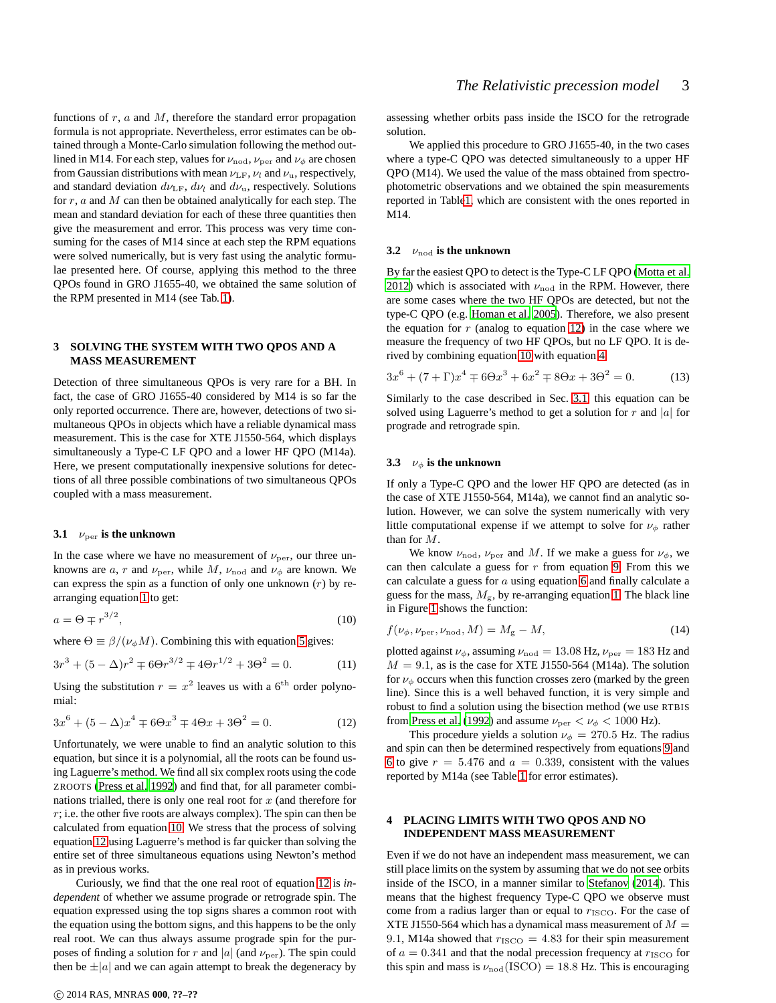functions of  $r$ ,  $a$  and  $M$ , therefore the standard error propagation formula is not appropriate. Nevertheless, error estimates can be obtained through a Monte-Carlo simulation following the method outlined in M14. For each step, values for  $\nu_{\text{nod}}$ ,  $\nu_{\text{per}}$  and  $\nu_{\phi}$  are chosen from Gaussian distributions with mean  $\nu$ <sub>LF</sub>,  $\nu$ <sub>l</sub> and  $\nu$ <sub>u</sub>, respectively, and standard deviation  $d\nu_{\text{LF}}$ ,  $d\nu_{\text{l}}$  and  $d\nu_{\text{u}}$ , respectively. Solutions for  $r$ ,  $a$  and  $M$  can then be obtained analytically for each step. The mean and standard deviation for each of these three quantities then give the measurement and error. This process was very time consuming for the cases of M14 since at each step the RPM equations were solved numerically, but is very fast using the analytic formulae presented here. Of course, applying this method to the three QPOs found in GRO J1655-40, we obtained the same solution of the RPM presented in M14 (see Tab. [1\)](#page-7-0).

#### **3 SOLVING THE SYSTEM WITH TWO QPOS AND A MASS MEASUREMENT**

Detection of three simultaneous QPOs is very rare for a BH. In fact, the case of GRO J1655-40 considered by M14 is so far the only reported occurrence. There are, however, detections of two simultaneous QPOs in objects which have a reliable dynamical mass measurement. This is the case for XTE J1550-564, which displays simultaneously a Type-C LF QPO and a lower HF QPO (M14a). Here, we present computationally inexpensive solutions for detections of all three possible combinations of two simultaneous QPOs coupled with a mass measurement.

#### <span id="page-2-2"></span>**3.1**  $\nu_{\text{per}}$  **is the unknown**

In the case where we have no measurement of  $\nu_{\text{per}}$ , our three unknowns are a, r and  $\nu_{\text{per}}$ , while M,  $\nu_{\text{nod}}$  and  $\nu_{\phi}$  are known. We can express the spin as a function of only one unknown  $(r)$  by rearranging equation [1](#page-1-0) to get:

<span id="page-2-0"></span>
$$
a = \Theta \mp r^{3/2},\tag{10}
$$

where  $\Theta \equiv \beta / (\nu_{\phi} M)$ . Combining this with equation [5](#page-1-1) gives:

$$
3r3 + (5 - \Delta)r2 \mp 6\Theta r3/2 \mp 4\Theta r1/2 + 3\Theta2 = 0.
$$
 (11)

Using the substitution  $r = x^2$  leaves us with a 6<sup>th</sup> order polynomial:

<span id="page-2-1"></span>
$$
3x^{6} + (5 - \Delta)x^{4} \mp 6\Theta x^{3} \mp 4\Theta x + 3\Theta^{2} = 0.
$$
 (12)

Unfortunately, we were unable to find an analytic solution to this equation, but since it is a polynomial, all the roots can be found using Laguerre's method. We find all six complex roots using the code ZROOTS [\(Press et al. 1992\)](#page-5-14) and find that, for all parameter combinations trialled, there is only one real root for  $x$  (and therefore for  $r$ ; i.e. the other five roots are always complex). The spin can then be calculated from equation [10.](#page-2-0) We stress that the process of solving equation [12](#page-2-1) using Laguerre's method is far quicker than solving the entire set of three simultaneous equations using Newton's method as in previous works.

Curiously, we find that the one real root of equation [12](#page-2-1) is *independent* of whether we assume prograde or retrograde spin. The equation expressed using the top signs shares a common root with the equation using the bottom signs, and this happens to be the only real root. We can thus always assume prograde spin for the purposes of finding a solution for r and |a| (and  $\nu_{\text{per}}$ ). The spin could then be  $\pm |a|$  and we can again attempt to break the degeneracy by

assessing whether orbits pass inside the ISCO for the retrograde solution.

We applied this procedure to GRO J1655-40, in the two cases where a type-C QPO was detected simultaneously to a upper HF QPO (M14). We used the value of the mass obtained from spectrophotometric observations and we obtained the spin measurements reported in Tabl[e1,](#page-7-0) which are consistent with the ones reported in M14.

#### **3.2**  $\nu_{\text{nod}}$  is the unknown

By far the easiest QPO to detect is the Type-C LF QPO [\(Motta et al.](#page-5-2) [2012](#page-5-2)) which is associated with  $\nu_{\text{nod}}$  in the RPM. However, there are some cases where the two HF QPOs are detected, but not the type-C QPO (e.g. [Homan et al. 2005\)](#page-4-14). Therefore, we also present the equation for  $r$  (analog to equation [12\)](#page-2-1) in the case where we measure the frequency of two HF QPOs, but no LF QPO. It is derived by combining equation [10](#page-2-0) with equation [4](#page-1-1)

<span id="page-2-4"></span>
$$
3x^{6} + (7+\Gamma)x^{4} \mp 6\Theta x^{3} + 6x^{2} \mp 8\Theta x + 3\Theta^{2} = 0.
$$
 (13)

Similarly to the case described in Sec. [3.1,](#page-2-2) this equation can be solved using Laguerre's method to get a solution for  $r$  and  $|a|$  for prograde and retrograde spin.

#### <span id="page-2-3"></span>**3.3**  $\nu_{\phi}$  is the unknown

If only a Type-C QPO and the lower HF QPO are detected (as in the case of XTE J1550-564, M14a), we cannot find an analytic solution. However, we can solve the system numerically with very little computational expense if we attempt to solve for  $\nu_{\phi}$  rather than for M.

We know  $\nu_{\text{nod}}$ ,  $\nu_{\text{per}}$  and M. If we make a guess for  $\nu_{\phi}$ , we can then calculate a guess for  $r$  from equation [9.](#page-1-4) From this we can calculate a guess for a using equation [6](#page-1-2) and finally calculate a guess for the mass,  $M<sub>g</sub>$ , by re-arranging equation [1.](#page-1-0) The black line in Figure [1](#page-3-0) shows the function:

$$
f(\nu_{\phi}, \nu_{\text{per}}, \nu_{\text{nod}}, M) = M_{\text{g}} - M,\tag{14}
$$

plotted against  $\nu_{\phi}$ , assuming  $\nu_{\text{nod}} = 13.08 \text{ Hz}$ ,  $\nu_{\text{per}} = 183 \text{ Hz}$  and  $M = 9.1$ , as is the case for XTE J1550-564 (M14a). The solution for  $\nu_{\phi}$  occurs when this function crosses zero (marked by the green line). Since this is a well behaved function, it is very simple and robust to find a solution using the bisection method (we use RTBIS from [Press et al.](#page-5-14) [\(1992](#page-5-14)) and assume  $\nu_{\text{per}} < \nu_{\phi} < 1000 \text{ Hz}$ ).

This procedure yields a solution  $\nu_{\phi} = 270.5$  Hz. The radius and spin can then be determined respectively from equations [9](#page-1-4) and [6](#page-1-2) to give  $r = 5.476$  and  $a = 0.339$ , consistent with the values reported by M14a (see Table [1](#page-7-0) for error estimates).

### **4 PLACING LIMITS WITH TWO QPOS AND NO INDEPENDENT MASS MEASUREMENT**

Even if we do not have an independent mass measurement, we can still place limits on the system by assuming that we do not see orbits inside of the ISCO, in a manner similar to [Stefanov \(2014](#page-5-12)). This means that the highest frequency Type-C QPO we observe must come from a radius larger than or equal to  $r_{\rm ISCO}$ . For the case of XTE J1550-564 which has a dynamical mass measurement of  $M =$ 9.1, M14a showed that  $r_{\text{ISCO}} = 4.83$  for their spin measurement of  $a = 0.341$  and that the nodal precession frequency at  $r_{\text{ISCO}}$  for this spin and mass is  $\nu_{\text{nod}}(\text{ISCO}) = 18.8$  Hz. This is encouraging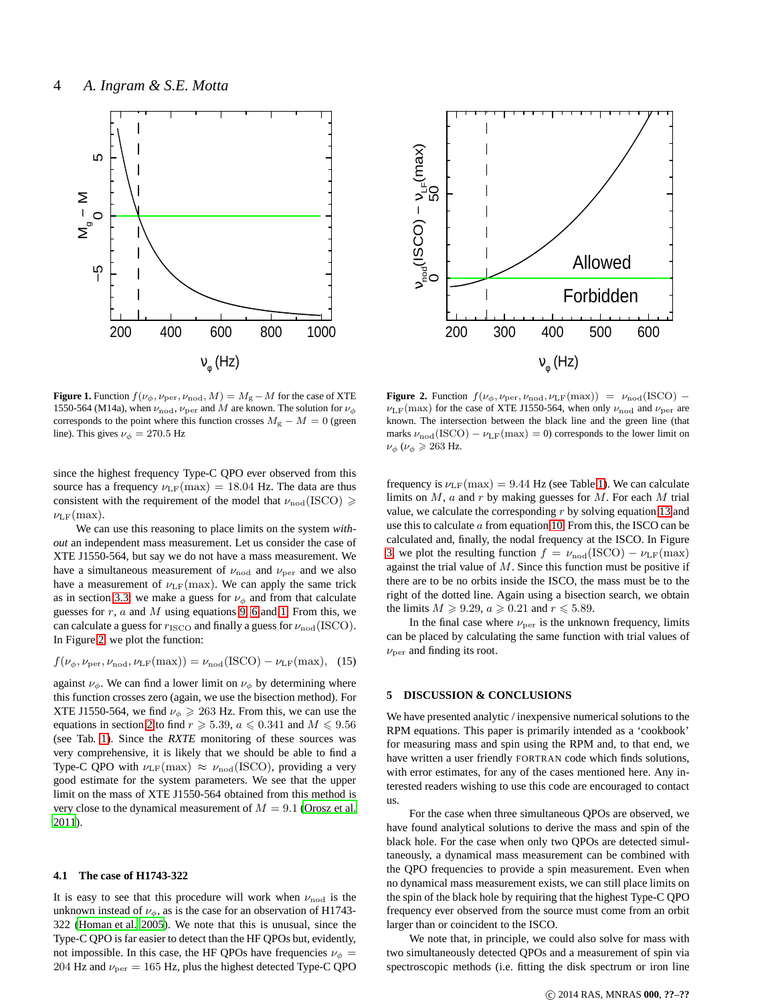

<span id="page-3-0"></span>**Figure 1.** Function  $f(\nu_{\phi}, \nu_{\text{per}}, \nu_{\text{nod}}, M) = M_{g} - M$  for the case of XTE 1550-564 (M14a), when  $\nu_{\text{nod}},$   $\nu_{\text{per}}$  and  $M$  are known. The solution for  $\nu_{\phi}$ corresponds to the point where this function crosses  $M_{\rm g} - M = 0$  (green line). This gives  $\nu_{\phi} = 270.5$  Hz

since the highest frequency Type-C QPO ever observed from this source has a frequency  $\nu_{LF}(max) = 18.04$  Hz. The data are thus consistent with the requirement of the model that  $\nu_{\text{nod}}(\text{ISCO}) \geq$  $\nu_{LF}(max)$ .

We can use this reasoning to place limits on the system *without* an independent mass measurement. Let us consider the case of XTE J1550-564, but say we do not have a mass measurement. We have a simultaneous measurement of  $\nu_{\text{nod}}$  and  $\nu_{\text{per}}$  and we also have a measurement of  $\nu_{LF}(max)$ . We can apply the same trick as in section [3.3:](#page-2-3) we make a guess for  $\nu_{\phi}$  and from that calculate guesses for  $r$ ,  $a$  and  $M$  using equations [9,](#page-1-4) [6](#page-1-2) and [1.](#page-1-0) From this, we can calculate a guess for  $r_{\text{ISCO}}$  and finally a guess for  $\nu_{\text{nod}}(\text{ISCO})$ . In Figure [2,](#page-3-1) we plot the function:

$$
f(\nu_{\phi}, \nu_{\text{per}}, \nu_{\text{nod}}, \nu_{\text{LF}}(\text{max})) = \nu_{\text{nod}}(\text{ISCO}) - \nu_{\text{LF}}(\text{max}), \quad (15)
$$

against  $\nu_{\phi}$ . We can find a lower limit on  $\nu_{\phi}$  by determining where this function crosses zero (again, we use the bisection method). For XTE J1550-564, we find  $\nu_{\phi} \ge 263$  Hz. From this, we can use the equations in section [2](#page-1-5) to find  $r \ge 5.39$ ,  $a \le 0.341$  and  $M \le 9.56$ (see Tab. [1\)](#page-7-0). Since the *RXTE* monitoring of these sources was very comprehensive, it is likely that we should be able to find a Type-C QPO with  $\nu_{LF}(\text{max}) \approx \nu_{\text{nod}}(\text{ISCO})$ , providing a very good estimate for the system parameters. We see that the upper limit on the mass of XTE J1550-564 obtained from this method is very close to the dynamical measurement of  $M = 9.1$  [\(Orosz et al.](#page-5-15) [2011](#page-5-15)).

#### **4.1 The case of H1743-322**

It is easy to see that this procedure will work when  $\nu_{\text{nod}}$  is the unknown instead of  $\nu_{\phi}$ , as is the case for an observation of H1743-322 [\(Homan et al. 2005](#page-4-14)). We note that this is unusual, since the Type-C QPO is far easier to detect than the HF QPOs but, evidently, not impossible. In this case, the HF QPOs have frequencies  $\nu_{\phi} =$ 204 Hz and  $\nu_{\rm per} = 165$  Hz, plus the highest detected Type-C QPO



<span id="page-3-1"></span>**Figure 2.** Function  $f(\nu_{\phi}, \nu_{\text{per}}, \nu_{\text{nod}}, \nu_{\text{LF}}(\text{max})) = \nu_{\text{nod}}(\text{ISCO})$  –  $\nu_{\rm LF}({\rm max})$  for the case of XTE J1550-564, when only  $\nu_{\rm nod}$  and  $\nu_{\rm per}$  are known. The intersection between the black line and the green line (that marks  $\nu_{\text{nod}}(\text{ISCO}) - \nu_{\text{LF}}(\text{max}) = 0$  corresponds to the lower limit on  $\nu_{\phi}$  ( $\nu_{\phi} \geqslant 263$  Hz.

frequency is  $\nu$ <sub>LF</sub>(max) = 9.44 Hz (see Table [1\)](#page-7-0). We can calculate limits on  $M$ ,  $a$  and  $r$  by making guesses for  $M$ . For each  $M$  trial value, we calculate the corresponding  $r$  by solving equation [13](#page-2-4) and use this to calculate a from equation [10.](#page-2-0) From this, the ISCO can be calculated and, finally, the nodal frequency at the ISCO. In Figure [3,](#page-4-15) we plot the resulting function  $f = \nu_{\text{nod}}(\text{ISCO}) - \nu_{\text{LF}}(\text{max})$ against the trial value of  $M$ . Since this function must be positive if there are to be no orbits inside the ISCO, the mass must be to the right of the dotted line. Again using a bisection search, we obtain the limits  $M \ge 9.29$ ,  $a \ge 0.21$  and  $r \le 5.89$ .

In the final case where  $\nu_{\text{per}}$  is the unknown frequency, limits can be placed by calculating the same function with trial values of  $\nu_{\text{per}}$  and finding its root.

### **5 DISCUSSION & CONCLUSIONS**

We have presented analytic / inexpensive numerical solutions to the RPM equations. This paper is primarily intended as a 'cookbook' for measuring mass and spin using the RPM and, to that end, we have written a user friendly FORTRAN code which finds solutions, with error estimates, for any of the cases mentioned here. Any interested readers wishing to use this code are encouraged to contact us.

For the case when three simultaneous QPOs are observed, we have found analytical solutions to derive the mass and spin of the black hole. For the case when only two QPOs are detected simultaneously, a dynamical mass measurement can be combined with the QPO frequencies to provide a spin measurement. Even when no dynamical mass measurement exists, we can still place limits on the spin of the black hole by requiring that the highest Type-C QPO frequency ever observed from the source must come from an orbit larger than or coincident to the ISCO.

We note that, in principle, we could also solve for mass with two simultaneously detected QPOs and a measurement of spin via spectroscopic methods (i.e. fitting the disk spectrum or iron line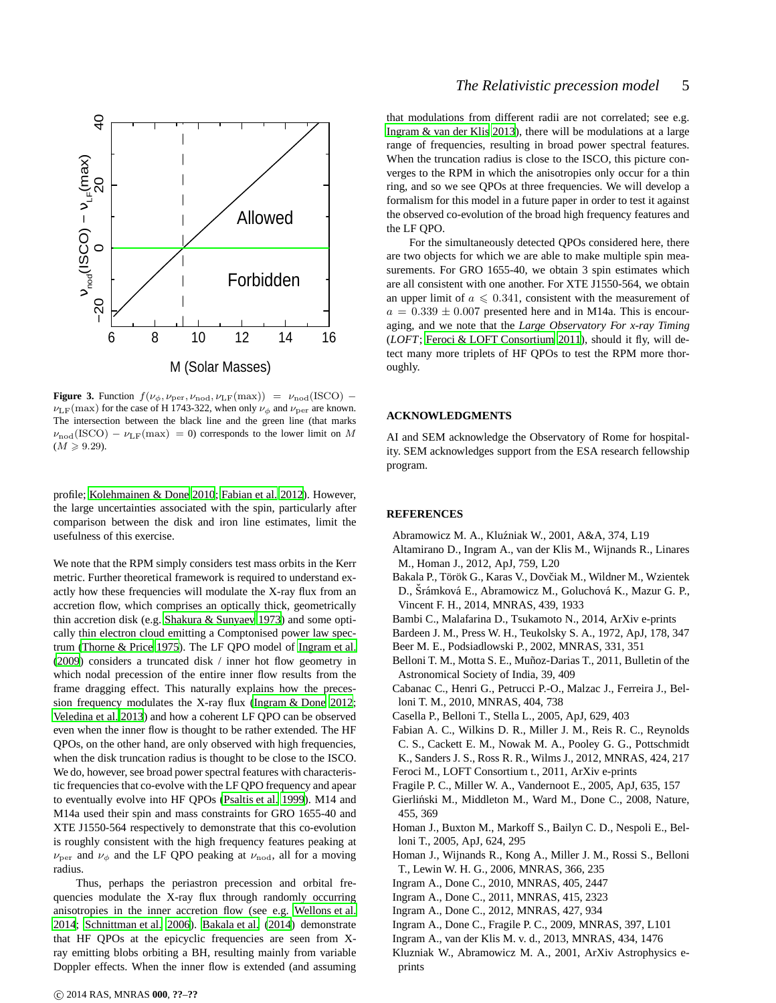

<span id="page-4-23"></span><span id="page-4-15"></span>**Figure 3.** Function  $f(\nu_{\phi}, \nu_{\text{per}}, \nu_{\text{nod}}, \nu_{\text{LF}}(\text{max})) = \nu_{\text{nod}}(\text{ISCO})$  –  $\nu_{\rm LF}$ (max) for the case of H 1743-322, when only  $\nu_{\phi}$  and  $\nu_{\rm per}$  are known. The intersection between the black line and the green line (that marks  $\nu_{\text{nod}}(\text{ISCO}) - \nu_{\text{LF}}(\text{max}) = 0$  corresponds to the lower limit on M  $(M \ge 9.29)$ .

profile; [Kolehmainen & Done 2010;](#page-5-16) [Fabian et al. 2012](#page-4-16)). However, the large uncertainties associated with the spin, particularly after comparison between the disk and iron line estimates, limit the usefulness of this exercise.

We note that the RPM simply considers test mass orbits in the Kerr metric. Further theoretical framework is required to understand exactly how these frequencies will modulate the X-ray flux from an accretion flow, which comprises an optically thick, geometrically thin accretion disk (e.g. [Shakura & Sunyaev 1973\)](#page-5-17) and some optically thin electron cloud emitting a Comptonised power law spectrum [\(Thorne & Price 1975](#page-5-18)). The LF QPO model of [Ingram et al.](#page-4-17) [\(2009](#page-4-17)) considers a truncated disk / inner hot flow geometry in which nodal precession of the entire inner flow results from the frame dragging effect. This naturally explains how the precession frequency modulates the X-ray flux [\(Ingram & Done 2012;](#page-4-18) [Veledina et al. 2013](#page-5-19)) and how a coherent LF QPO can be observed even when the inner flow is thought to be rather extended. The HF QPOs, on the other hand, are only observed with high frequencies, when the disk truncation radius is thought to be close to the ISCO. We do, however, see broad power spectral features with characteristic frequencies that co-evolve with the LF QPO frequency and apear to eventually evolve into HF QPOs [\(Psaltis et al. 1999](#page-5-20)). M14 and M14a used their spin and mass constraints for GRO 1655-40 and XTE J1550-564 respectively to demonstrate that this co-evolution is roughly consistent with the high frequency features peaking at  $\nu_{\text{per}}$  and  $\nu_{\phi}$  and the LF QPO peaking at  $\nu_{\text{nod}}$ , all for a moving radius.

Thus, perhaps the periastron precession and orbital frequencies modulate the X-ray flux through randomly occurring anisotropies in the inner accretion flow (see e.g. [Wellons et](#page-5-21) al. [2014](#page-5-21); [Schnittman et al. 2006](#page-5-9)). [Bakala et al. \(2014\)](#page-4-19) demonstrate that HF QPOs at the epicyclic frequencies are seen from Xray emitting blobs orbiting a BH, resulting mainly from variable Doppler effects. When the inner flow is extended (and assuming that modulations from different radii are not correlated; see e.g. [Ingram & van der Klis 2013\)](#page-4-20), there will be modulations at a large range of frequencies, resulting in broad power spectral features. When the truncation radius is close to the ISCO, this picture converges to the RPM in which the anisotropies only occur for a thin ring, and so we see QPOs at three frequencies. We will develop a formalism for this model in a future paper in order to test it against the observed co-evolution of the broad high frequency features and the LF QPO.

For the simultaneously detected QPOs considered here, there are two objects for which we are able to make multiple spin measurements. For GRO 1655-40, we obtain 3 spin estimates which are all consistent with one another. For XTE J1550-564, we obtain an upper limit of  $a \leq 0.341$ , consistent with the measurement of  $a = 0.339 \pm 0.007$  presented here and in M14a. This is encouraging, and we note that the *Large Observatory For x-ray Timing* (*LOFT*; [Feroci & LOFT Consortium 2011](#page-4-21)), should it fly, will detect many more triplets of HF QPOs to test the RPM more thoroughly.

### <span id="page-4-22"></span>**ACKNOWLEDGMENTS**

AI and SEM acknowledge the Observatory of Rome for hospitality. SEM acknowledges support from the ESA research fellowship program.

#### **REFERENCES**

- <span id="page-4-3"></span>Abramowicz M. A., Kluźniak W., 2001, A&A, 374, L19
- <span id="page-4-10"></span>Altamirano D., Ingram A., van der Klis M., Wijnands R., Linares M., Homan J., 2012, ApJ, 759, L20
- <span id="page-4-19"></span>Bakala P., Török G., Karas V., Dovčiak M., Wildner M., Wzientek D., Šrámková E., Abramowicz M., Goluchová K., Mazur G. P., Vincent F. H., 2014, MNRAS, 439, 1933
- <span id="page-4-12"></span>Bambi C., Malafarina D., Tsukamoto N., 2014, ArXiv e-prints
- <span id="page-4-13"></span>Bardeen J. M., Press W. H., Teukolsky S. A., 1972, ApJ, 178, 347
- <span id="page-4-11"></span>Beer M. E., Podsiadlowski P., 2002, MNRAS, 331, 351
- <span id="page-4-2"></span>Belloni T. M., Motta S. E., Muñoz-Darias T., 2011, Bulletin of the Astronomical Society of India, 39, 409
- <span id="page-4-5"></span>Cabanac C., Henri G., Petrucci P.-O., Malzac J., Ferreira J., Belloni T. M., 2010, MNRAS, 404, 738
- <span id="page-4-1"></span>Casella P., Belloni T., Stella L., 2005, ApJ, 629, 403
- <span id="page-4-16"></span>Fabian A. C., Wilkins D. R., Miller J. M., Reis R. C., Reynolds C. S., Cackett E. M., Nowak M. A., Pooley G. G., Pottschmidt K., Sanders J. S., Ross R. R., Wilms J., 2012, MNRAS, 424, 217
- <span id="page-4-21"></span>Feroci M., LOFT Consortium t., 2011, ArXiv e-prints
- <span id="page-4-6"></span>Fragile P. C., Miller W. A., Vandernoot E., 2005, ApJ, 635, 157
- <span id="page-4-0"></span>Gierliński M., Middleton M., Ward M., Done C., 2008, Nature, 455, 369
- <span id="page-4-14"></span>Homan J., Buxton M., Markoff S., Bailyn C. D., Nespoli E., Belloni T., 2005, ApJ, 624, 295
- <span id="page-4-7"></span>Homan J., Wijnands R., Kong A., Miller J. M., Rossi S., Belloni T., Lewin W. H. G., 2006, MNRAS, 366, 235
- <span id="page-4-9"></span>Ingram A., Done C., 2010, MNRAS, 405, 2447
- <span id="page-4-8"></span>Ingram A., Done C., 2011, MNRAS, 415, 2323
- <span id="page-4-18"></span>Ingram A., Done C., 2012, MNRAS, 427, 934
- <span id="page-4-17"></span>Ingram A., Done C., Fragile P. C., 2009, MNRAS, 397, L101
- <span id="page-4-20"></span>Ingram A., van der Klis M. v. d., 2013, MNRAS, 434, 1476
- <span id="page-4-4"></span>Kluzniak W., Abramowicz M. A., 2001, ArXiv Astrophysics eprints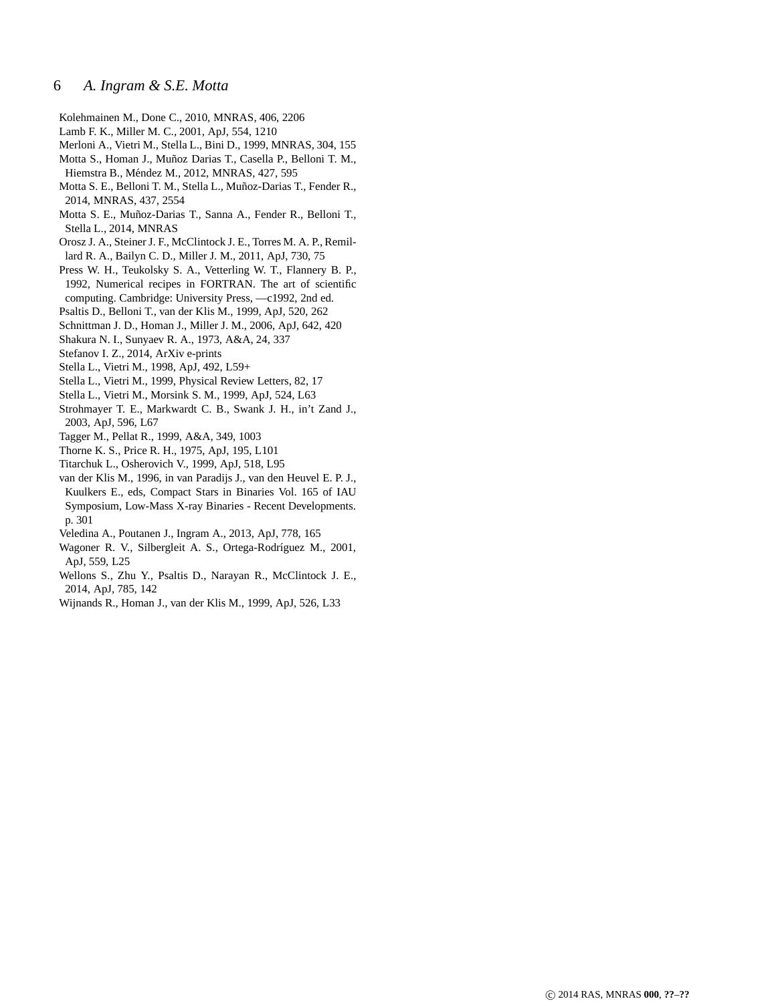## 6 *A. Ingram & S.E. Motta*

- <span id="page-5-24"></span><span id="page-5-23"></span><span id="page-5-22"></span><span id="page-5-16"></span>Kolehmainen M., Done C., 2010, MNRAS, 406, 2206
- <span id="page-5-3"></span>Lamb F. K., Miller M. C., 2001, ApJ, 554, 1210
- <span id="page-5-13"></span>Merloni A., Vietri M., Stella L., Bini D., 1999, MNRAS, 304, 155
- <span id="page-5-2"></span>Motta S., Homan J., Muñoz Darias T., Casella P., Belloni T. M., Hiemstra B., Méndez M., 2012, MNRAS, 427, 595
- Motta S. E., Belloni T. M., Stella L., Muñoz-Darias T., Fender R., 2014, MNRAS, 437, 2554
- Motta S. E., Muñoz-Darias T., Sanna A., Fender R., Belloni T., Stella L., 2014, MNRAS
- <span id="page-5-15"></span>Orosz J. A., Steiner J. F., McClintock J. E., Torres M. A. P., Remillard R. A., Bailyn C. D., Miller J. M., 2011, ApJ, 730, 75
- <span id="page-5-14"></span>Press W. H., Teukolsky S. A., Vetterling W. T., Flannery B. P., 1992, Numerical recipes in FORTRAN. The art of scientific computing. Cambridge: University Press, —c1992, 2nd ed.
- <span id="page-5-20"></span>Psaltis D., Belloni T., van der Klis M., 1999, ApJ, 520, 262
- <span id="page-5-9"></span>Schnittman J. D., Homan J., Miller J. M., 2006, ApJ, 642, 420
- <span id="page-5-17"></span>Shakura N. I., Sunyaev R. A., 1973, A&A, 24, 337
- <span id="page-5-12"></span>Stefanov I. Z., 2014, ArXiv e-prints
- <span id="page-5-8"></span>Stella L., Vietri M., 1998, ApJ, 492, L59+
- <span id="page-5-11"></span>Stella L., Vietri M., 1999, Physical Review Letters, 82, 17
- <span id="page-5-10"></span>Stella L., Vietri M., Morsink S. M., 1999, ApJ, 524, L63
- <span id="page-5-0"></span>Strohmayer T. E., Markwardt C. B., Swank J. H., in't Zand J., 2003, ApJ, 596, L67
- <span id="page-5-5"></span>Tagger M., Pellat R., 1999, A&A, 349, 1003
- <span id="page-5-18"></span>Thorne K. S., Price R. H., 1975, ApJ, 195, L101
- <span id="page-5-6"></span>Titarchuk L., Osherovich V., 1999, ApJ, 518, L95
- <span id="page-5-4"></span>van der Klis M., 1996, in van Paradijs J., van den Heuvel E. P. J., Kuulkers E., eds, Compact Stars in Binaries Vol. 165 of IAU Symposium, Low-Mass X-ray Binaries - Recent Developments. p. 301
- <span id="page-5-19"></span>Veledina A., Poutanen J., Ingram A., 2013, ApJ, 778, 165
- <span id="page-5-7"></span>Wagoner R. V., Silbergleit A. S., Ortega-Rodríguez M., 2001, ApJ, 559, L25
- <span id="page-5-21"></span>Wellons S., Zhu Y., Psaltis D., Narayan R., McClintock J. E., 2014, ApJ, 785, 142
- <span id="page-5-1"></span>Wijnands R., Homan J., van der Klis M., 1999, ApJ, 526, L33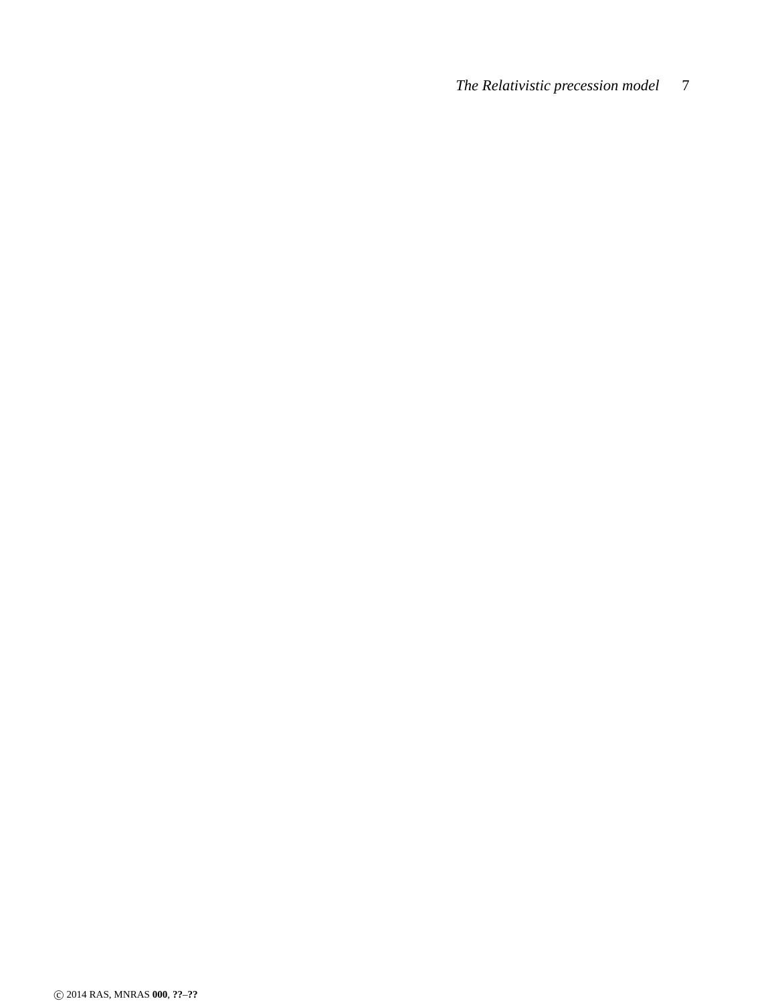## *The Relativistic precession model* 7